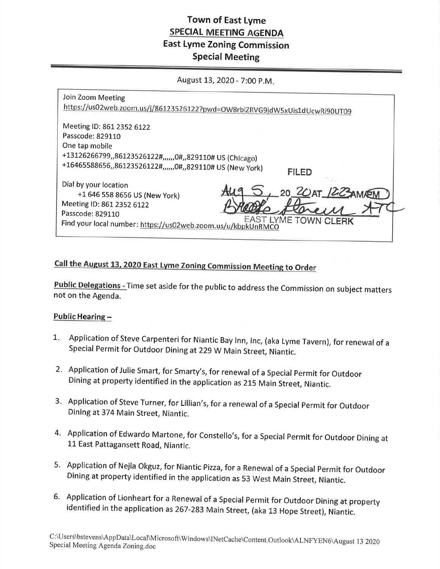# Town of East Lyme SPECIAL MEETING AGENDA East Lyme Zoning Commission Special Meeting

August 13, 2020 - 7:00 P.M.

| Join Zoom Meeting<br>https://us02web.zoom.us/j/86123526122?pwd=OW8rblZRVG9jdW5xUis1dUcwRi90UT09                                                                                                                        |  |
|------------------------------------------------------------------------------------------------------------------------------------------------------------------------------------------------------------------------|--|
| Meeting ID: 861 2352 6122<br>Passcode: 829110<br>One tap mobile<br>+13126266799,,86123526122#,,,,,,0#,,829110# US (Chicago)<br>+16465588656,,86123526122#,,,,,,0#,,829110# US (New York)<br><b>FILED</b>               |  |
| Dial by your location<br>20 20 AT 1223 AMPEM<br>+1 646 558 8656 US (New York)<br>Meeting ID: 861 2352 6122<br>Passcode: 829110<br>EAST LYME TOWN CLERK<br>Find your local number: https://us02web.zoom.us/u/kbpkUnRMCO |  |

# Call the August 13, 2020 East Lyme Zoning Commission Meeting to Order

Public Delegations - Time set aside for the public to address the Commission on subject matters not on the Agenda.

## Public Hearing -

- 1. Application of Steve Carpenteri for Niantic Bay Inn, Inc, (aka Lyme Tavern), for renewal of a Special Permit for Outdoor Dining at 229 W Main Street, Niantic.
- Application of Julie Smart, for Smarty's, for renewal of a Special permit for Outdoor 2 Dining at property identified in the application as 215 Main Street, Niantic.
- Application of Steve Turner, for Lillian's, for a renewal of a Special permit for outdoor 3 Dining at374 Main Street, Niantic.
- 4. Application of Edwardo Martone, for Constello's, for a Special Permit for Outdoor Dining at 11 East Pattagansett Road, Niantic.
- 5. Application of Nejla Okguz, for Niantic Pizza, for a Renewal of a Special Permit for Outdoor Dining at property identified in the application as 53 west Main street, Niantic.
- 6' Application of Lionheart for a Renewal of a Special Permit for outdoor Dining at property identified in the application as 267-283 Main Street, (aka 13 Hope Street), Niantic.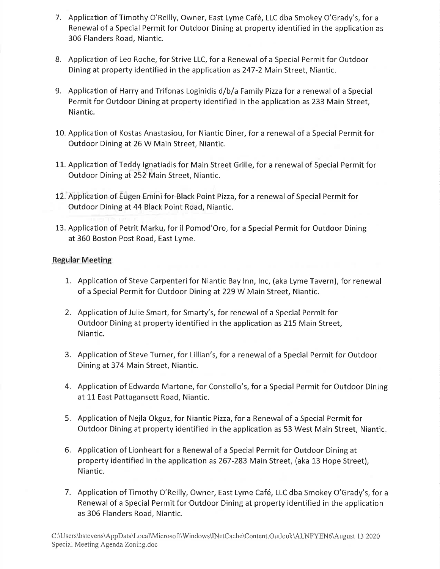- 7. Application of Timothy O'Reilly, Owner, East Lyme Café, LLC dba Smokey O'Grady's, for a Renewal of a Special Permit for Outdoor Dining at property identified in the application as 306 Flanders Road, Niantic.
- 8. Application of Leo Roche, for Strive LLC, for a Renewal of a Special Permit for Outdoor Dining at property identified in the application as247-2 Main Street, Niantic.
- 9. Application of Harry and Trifonas Loginidis d/b/a Family Pizza for a renewal of a Special Permit for Outdoor Dining at property identified in the application as 233 Main Street, Niantic.
- 10. Application of Kostas Anastasiou, for Niantic Diner, for a renewal of a Special Permit for Outdoor Dining at 26 W Main Street, Niantic.
- 11. Application of Teddy lgnatiadis for Main Street Grille, for a renewal of Special Permit for Outdoor Dining at252 Main Street, Niantic.
- 12. Application of Eugen.Emini for Black Point Pizza , for a renewal of Special Permit for Outdoor Dining at 44 Black Point Road, Niantic.
- 13. Application of Petrit Marku, for il Pomod'Oro, for a Special Permit for Outdoor Dining at 360 Boston Post Road, East Lyme.

### Regular Meeting

- 1. Application of Steve Carpenteri for Niantic Bay Inn, Inc, (aka Lyme Tavern), for renewal of a Special Permit for Outdoor Dining at229 W Main Street, Niantic.
- 2. Application of Julie Smart, for Smarty's, for renewal of a Special Permit for Outdoor Dining at property identified in the application as 215 Main Street, Niantic.
- 3. Application of Steve Turner, for Lillian's, for a renewal of a Special Permit for Outdoor Dining at374 Main Street, Niantic.
- 4. Application of Edwardo Martone, for Constello's, for a Special Permit for Outdoor Dining at 11 East Pattagansett Road, Niantic.
- 5. Application of Nejla Okguz, for Niantic Pizza, for a Renewal of a Special Permit for Outdoor Dining at property identified in the application as 53 West Main Street, Niantic
- 6. Application of Lionheart for a Renewal of a Special Permit for Outdoor Dining at property identified in the application as 267-283 Main Street, (aka 13 Hope Street), Niantic.
- 7. Application of Timothy O'Reilly, Owner, East Lyme Caf6, LLC dba Smokey O'Grady's, for <sup>a</sup> Renewal of a Special Permit for Outdoor Dining at property identified in the application as 306 Flanders Road, Niantic.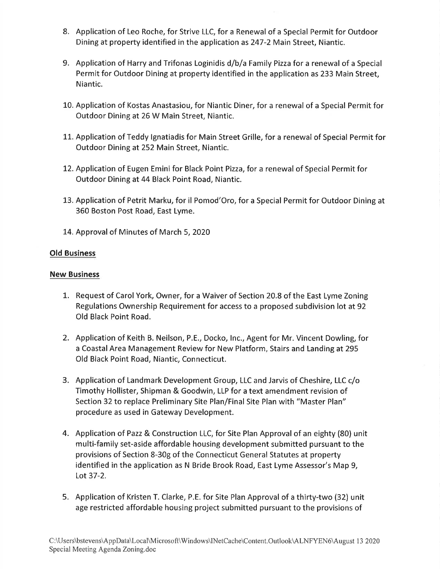- 8. Application of Leo Roche, for Strive LLC, for a Renewal of a Special Permit for Outdoor Dining at property identified in the application as247-2 Main Street, Niantic.
- 9. Application of Harry and Trifonas Loginidis d/b/a Family Pizza for a renewal of a Special Permit for Outdoor Dining at property identified in the application as 233 Main Street, Niantic.
- 10. Application of Kostas Anastasiou, for Niantic Diner, for a renewal of a Special Permit for Outdoor Dining at 26 W Main Street, Niantic.
- 11. Application of Teddy Ignatiadis for Main Street Grille, for a renewal of Special Permit for Outdoor Dining at252 Main Street, Niantic.
- 12. Application of Eugen Eminifor Black Point Pizza, for a renewal of Special Permit for Outdoor Dining at 44 Black Point Road, Niantic.
- 13. Application of Petrit Marku, for il Pomod'Oro, for a Special Permit for Outdoor Dining at 360 Boston Post Road, East Lyme.
- 14. Approval of Minutes of March 5,2020

### Old Business

#### New Business

- L. Request of Carol York, Owner, for a Waiver of Section 20.8 of the East Lyme Zoning Regulations Ownership Requirement for access to a proposed subdivision lot at 92 Old Black Point Road.
- 2. Application of Keith B. Neilson, P.E., Docko, lnc., Agent for Mr. Vincent Dowling, for a Coastal Area Management Review for New Platform, Stairs and Landing at 295 Old Black Point Road, Niantic, Connecticut.
- 3. Application of Landmark Development Group, LLC and Jarvis of Cheshire, LLC c/o Timothy Hollister, Shipman & Goodwin, LLP for a text amendment revision of Section 32 to replace Preliminary Site Plan/Final Site Plan with "Master Plan" procedure as used in Gateway Development.
- 4. Application of Pazz & Construction LLC, for Site Plan Approval of an eighty (80) unit multi-family set-aside affordable housing development submitted pursuant to the provisions of Section 8-30g of the Connecticut General Statutes at property identified in the application as N Bride Brook Road, East Lyme Assessor's Map 9, Lot37-2.
- 5. Application of Kristen T. Clarke, P.E. for Site Plan Approval of a thirty-two (32) unit age restricted affordable housing project submitted pursuant to the provisions of